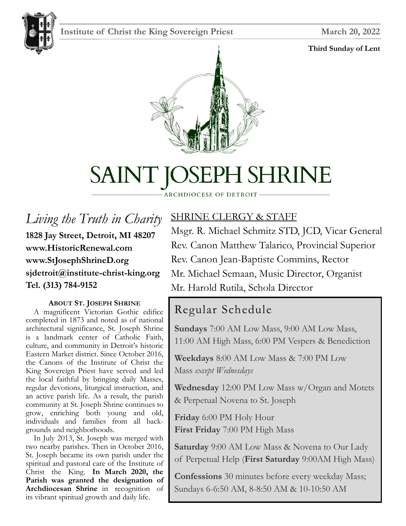# Institute of Christ the King Sovereign Priest March 20, 2022



#### **Third Sunday of Lent**





# SAINT JOSEPH SHRINE

#### ARCHDIOCESE OF DETROIT

*Living the Truth in Charity* **1828 Jay Street, Detroit, MI 48207 www.HistoricRenewal.com www.StJosephShrineD.org sjdetroit@institute-christ-king.org Tel. (313) 784-9152**

#### **ABOUT ST. JOSEPH SHRINE**

 A magnificent Victorian Gothic edifice completed in 1873 and noted as of national architectural significance, St. Joseph Shrine is a landmark center of Catholic Faith, culture, and community in Detroit's historic Eastern Market district. Since October 2016, the Canons of the Institute of Christ the King Sovereign Priest have served and led the local faithful by bringing daily Masses, regular devotions, liturgical instruction, and an active parish life. As a result, the parish community at St. Joseph Shrine continues to grow, enriching both young and old, individuals and families from all backgrounds and neighborhoods.

 In July 2013, St. Joseph was merged with two nearby parishes. Then in October 2016, St. Joseph became its own parish under the spiritual and pastoral care of the Institute of Christ the King. **In March 2020, the Parish was granted the designation of Archdiocesan Shrine** in recognition of its vibrant spiritual growth and daily life.

# SHRINE CLERGY & STAFF

Msgr. R. Michael Schmitz STD, JCD, Vicar General Rev. Canon Matthew Talarico, Provincial Superior Rev. Canon Jean-Baptiste Commins, Rector Mr. Michael Semaan, Music Director, Organist Mr. Harold Rutila, Schola Director

# Regular Schedule

**Sundays** 7:00 AM Low Mass, 9:00 AM Low Mass, 11:00 AM High Mass, 6:00 PM Vespers & Benediction

**Weekdays** 8:00 AM Low Mass & 7:00 PM Low Mass *except Wednesdays*

**Wednesday** 12:00 PM Low Mass w/Organ and Motets & Perpetual Novena to St. Joseph

**Friday** 6:00 PM Holy Hour **First Friday** 7:00 PM High Mass

**Saturday** 9:00 AM Low Mass & Novena to Our Lady of Perpetual Help (**First Saturday** 9:00AM High Mass)

**Confessions** 30 minutes before every weekday Mass; Sundays 6-6:50 AM, 8-8:50 AM & 10-10:50 AM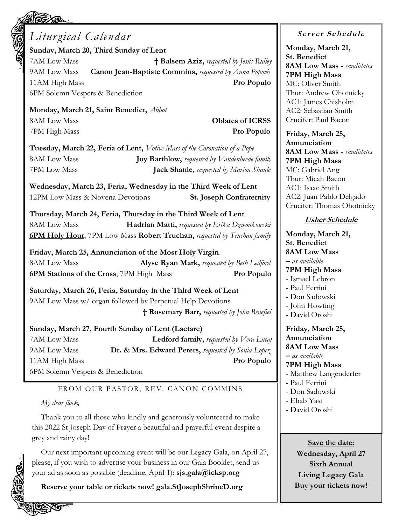# *Liturgical Calendar*

**Sunday, March 20, Third Sunday of Lent** 7AM Low Mass **† Balsem Aziz,** *requested by Jesús Ridley* 9AM Low Mass **Canon Jean-Baptiste Commins,** *requested by Anna Popovic* 11AM High Mass **Pro Populo** 6PM Solemn Vespers & Benediction

**Monday, March 21, Saint Benedict,** *Abbot* 8AM Low Mass **Oblates of ICRSS** 7PM High Mass **Pro Populo**

**Tuesday, March 22, Feria of Lent,** *Votive Mass of the Coronation of a Pope* 8AM Low Mass **Joy Barthlow,** *requested by Vandenheede family* 7PM Low Mass **Jack Shanle,** *requested by Marion Shanle*

**Wednesday, March 23, Feria, Wednesday in the Third Week of Lent** 12PM Low Mass & Novena Devotions **St. Joseph Confraternity**

**Thursday, March 24, Feria, Thursday in the Third Week of Lent** 8AM Low Mass **Hadrian Matti,** *requested by Erika Dzwonkowski* **6PM Holy Hour**, 7PM Low Mass **Robert Truchan,** *requested by Truchan family*

**Friday, March 25, Annunciation of the Most Holy Virgin** 8AM Low Mass **Alyse Ryan Mark,** *requested by Beth Ledford* **6PM Stations of the Cross**, 7PM High Mass **Pro Populo**

**Saturday, March 26, Feria, Saturday in the Third Week of Lent** 9AM Low Mass w/ organ followed by Perpetual Help Devotions **† Rosemary Barr,** *requested by John Benefiel*

#### **Sunday, March 27, Fourth Sunday of Lent (Laetare)**

7AM Low Mass **Ledford family,** *requested by Vera Lucaj* 9AM Low Mass **Dr. & Mrs. Edward Peters,** *requested by Sonia Lopez* 11AM High Mass **Pro Populo** 6PM Solemn Vespers & Benediction

#### FROM OUR PASTOR, REV. CANON COMMINS

#### *My dear flock,*

Thank you to all those who kindly and generously volunteered to make this 2022 St Joseph Day of Prayer a beautiful and prayerful event despite a grey and rainy day!

Our next important upcoming event will be our Legacy Gala, on April 27, please, if you wish to advertise your business in our Gala Booklet, send us your ad as soon as possible (deadline, April 1): **sjs.gala@icksp.org**

**Reserve your table or tickets now! gala.StJosephShrineD.org**

#### **<sup>S</sup> <sup>e</sup> rv er <sup>S</sup> <sup>c</sup> he du le**

**Monday, March 21, St. Benedict 8AM Low Mass -** *candidates* **7PM High Mass** MC: Oliver Smith Thur: Andrew Ohotnicky AC1: James Chisholm AC2: Sebastian Smith Crucifer: Paul Bacon

**Friday, March 25, Annunciation 8AM Low Mass -** *candidates* **7PM High Mass** MC: Gabriel Ang Thur: Micah Bacon AC1: Isaac Smith AC2: Juan Pablo Delgado Crucifer: Thomas Ohotnicky

#### **Usher Schedule**

**Monday, March 21, St. Benedict 8AM Low Mass –** *as available* **7PM High Mass** - Ismael Lebron - Paul Ferrini - Don Sadowski - John Howting - David Oroshi **Friday, March 25, Annunciation 8AM Low Mass –** *as available* **7PM High Mass** - Matthew Langenderfer - Paul Ferrini - Don Sadowski - Ehab Yasi - David Oroshi

**Save the date: Wednesday, April 27 Sixth Annual Living Legacy Gala Buy your tickets now!**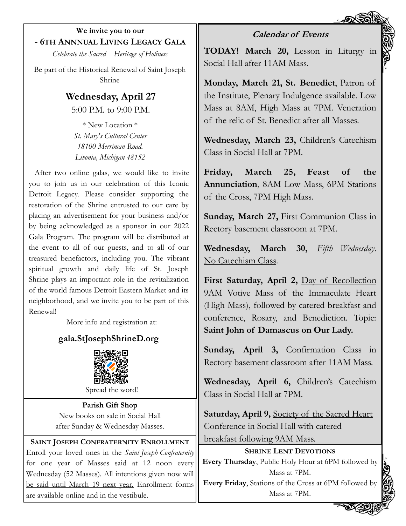**We invite you to our - 6TH ANNNUAL LIVING LEGACY GALA**

*Celebrate the Sacred | Heritage of Holiness*

Be part of the Historical Renewal of Saint Joseph Shrine

> **Wednesday, April 27** 5:00 P.M. to 9:00 P.M.

\* New Location \* *St. Mary's Cultural Center 18100 Merriman Road. Livonia, Michigan 48152*

After two online galas, we would like to invite you to join us in our celebration of this Iconic Detroit Legacy. Please consider supporting the restoration of the Shrine entrusted to our care by placing an advertisement for your business and/or by being acknowledged as a sponsor in our 2022 Gala Program. The program will be distributed at the event to all of our guests, and to all of our treasured benefactors, including you. The vibrant spiritual growth and daily life of St. Joseph Shrine plays an important role in the revitalization of the world famous Detroit Eastern Market and its neighborhood, and we invite you to be part of this Renewal!

More info and registration at:

# **gala.StJosephShrineD.org**



Spread the word!

**Parish Gift Shop** New books on sale in Social Hall after Sunday & Wednesday Masses.

**SAINT JOSEPH CONFRATERNITY ENROLLMENT** Enroll your loved ones in the *Saint Joseph Confraternity*  for one year of Masses said at 12 noon every Wednesday (52 Masses). All intentions given now will be said until March 19 next year. Enrollment forms are available online and in the vestibule.

### **Calendar of Events**

**TODAY! March 20,** Lesson in Liturgy in Social Hall after 11AM Mass.

**Monday, March 21, St. Benedict**, Patron of the Institute, Plenary Indulgence available. Low Mass at 8AM, High Mass at 7PM. Veneration of the relic of St. Benedict after all Masses.

**Wednesday, March 23,** Children's Catechism Class in Social Hall at 7PM.

**Friday, March 25, Feast of the Annunciation**, 8AM Low Mass, 6PM Stations of the Cross, 7PM High Mass.

**Sunday, March 27,** First Communion Class in Rectory basement classroom at 7PM.

**Wednesday, March 30,** *Fifth Wednesday*. No Catechism Class.

**First Saturday, April 2,** Day of Recollection 9AM Votive Mass of the Immaculate Heart (High Mass), followed by catered breakfast and conference, Rosary, and Benediction. Topic: **Saint John of Damascus on Our Lady.**

**Sunday, April 3,** Confirmation Class in Rectory basement classroom after 11AM Mass.

**Wednesday, April 6,** Children's Catechism Class in Social Hall at 7PM.

**Saturday, April 9,** Society of the Sacred Heart Conference in Social Hall with catered breakfast following 9AM Mass.

**SHRINE LENT DEVOTIONS Every Thursday**, Public Holy Hour at 6PM followed by Mass at 7PM. **Every Friday**, Stations of the Cross at 6PM followed by Mass at 7PM.